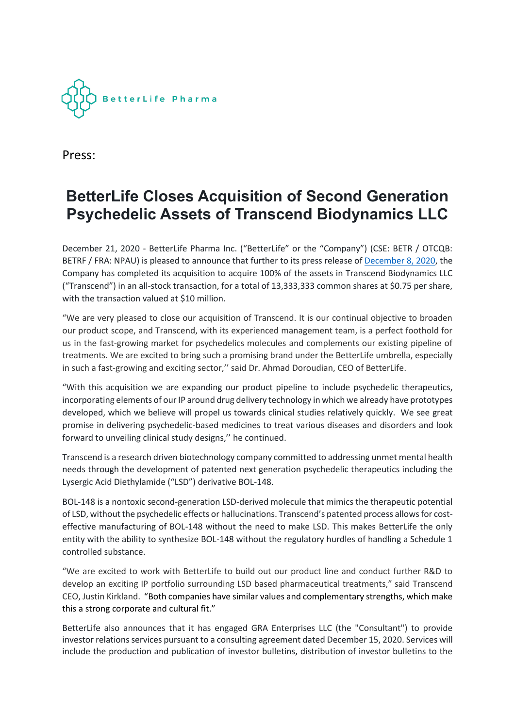

Press:

# **BetterLife Closes Acquisition of Second Generation Psychedelic Assets of Transcend Biodynamics LLC**

December 21, 2020 - BetterLife Pharma Inc. ("BetterLife" or the "Company") (CSE: BETR / OTCQB: BETRF / FRA: NPAU) is pleased to announce that further to its press release o[f December](https://finance.yahoo.com/news/betterlife-adds-next-gen-psychedelic-135600938.html) 8, 2020, the Company has completed its acquisition to acquire 100% of the assets in Transcend Biodynamics LLC ("Transcend") in an all-stock transaction, for a total of 13,333,333 common shares at \$0.75 per share, with the transaction valued at \$10 million.

"We are very pleased to close our acquisition of Transcend. It is our continual objective to broaden our product scope, and Transcend, with its experienced management team, is a perfect foothold for us in the fast-growing market for psychedelics molecules and complements our existing pipeline of treatments. We are excited to bring such a promising brand under the BetterLife umbrella, especially in such a fast-growing and exciting sector," said Dr. Ahmad Doroudian, CEO of BetterLife.

"With this acquisition we are expanding our product pipeline to include psychedelic therapeutics, incorporating elements of our IP around drug delivery technology in which we already have prototypes developed, which we believe will propel us towards clinical studies relatively quickly. We see great promise in delivering psychedelic-based medicines to treat various diseases and disorders and look forward to unveiling clinical study designs,'' he continued.

Transcend is a research driven biotechnology company committed to addressing unmet mental health needs through the development of patented next generation psychedelic therapeutics including the Lysergic Acid Diethylamide ("LSD") derivative BOL-148.

BOL-148 is a nontoxic second-generation LSD-derived molecule that mimics the therapeutic potential of LSD, without the psychedelic effects or hallucinations. Transcend's patented process allows for costeffective manufacturing of BOL-148 without the need to make LSD. This makes BetterLife the only entity with the ability to synthesize BOL-148 without the regulatory hurdles of handling a Schedule 1 controlled substance.

"We are excited to work with BetterLife to build out our product line and conduct further R&D to develop an exciting IP portfolio surrounding LSD based pharmaceutical treatments," said Transcend CEO, Justin Kirkland. "Both companies have similar values and complementary strengths, which make this a strong corporate and cultural fit."

BetterLife also announces that it has engaged GRA Enterprises LLC (the "Consultant") to provide investor relations services pursuant to a consulting agreement dated December 15, 2020. Services will include the production and publication of investor bulletins, distribution of investor bulletins to the